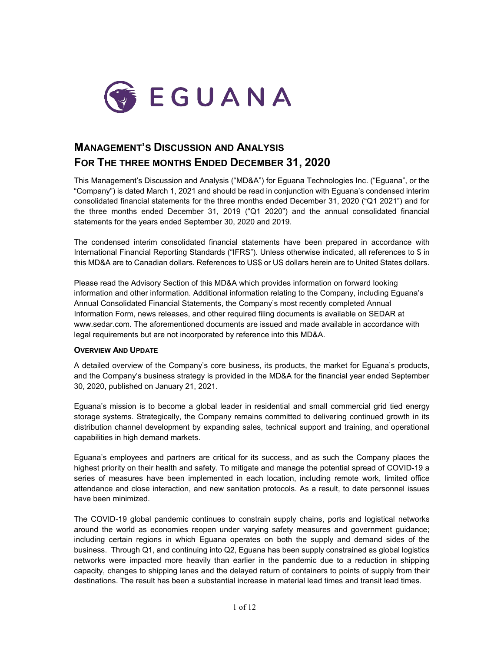

# **MANAGEMENT'S DISCUSSION AND ANALYSIS FOR THE THREE MONTHS ENDED DECEMBER 31, 2020**

This Management's Discussion and Analysis ("MD&A") for Eguana Technologies Inc. ("Eguana", or the "Company") is dated March 1, 2021 and should be read in conjunction with Eguana's condensed interim consolidated financial statements for the three months ended December 31, 2020 ("Q1 2021") and for the three months ended December 31, 2019 ("Q1 2020") and the annual consolidated financial statements for the years ended September 30, 2020 and 2019.

The condensed interim consolidated financial statements have been prepared in accordance with International Financial Reporting Standards ("IFRS"). Unless otherwise indicated, all references to \$ in this MD&A are to Canadian dollars. References to US\$ or US dollars herein are to United States dollars.

Please read the Advisory Section of this MD&A which provides information on forward looking information and other information. Additional information relating to the Company, including Eguana's Annual Consolidated Financial Statements, the Company's most recently completed Annual Information Form, news releases, and other required filing documents is available on SEDAR at [www.sedar.com.](http://www.sedar.com/) The aforementioned documents are issued and made available in accordance with legal requirements but are not incorporated by reference into this MD&A.

# **OVERVIEW AND UPDATE**

A detailed overview of the Company's core business, its products, the market for Eguana's products, and the Company's business strategy is provided in the MD&A for the financial year ended September 30, 2020, published on January 21, 2021.

Eguana's mission is to become a global leader in residential and small commercial grid tied energy storage systems. Strategically, the Company remains committed to delivering continued growth in its distribution channel development by expanding sales, technical support and training, and operational capabilities in high demand markets.

Eguana's employees and partners are critical for its success, and as such the Company places the highest priority on their health and safety. To mitigate and manage the potential spread of COVID-19 a series of measures have been implemented in each location, including remote work, limited office attendance and close interaction, and new sanitation protocols. As a result, to date personnel issues have been minimized.

The COVID-19 global pandemic continues to constrain supply chains, ports and logistical networks around the world as economies reopen under varying safety measures and government guidance; including certain regions in which Eguana operates on both the supply and demand sides of the business. Through Q1, and continuing into Q2, Eguana has been supply constrained as global logistics networks were impacted more heavily than earlier in the pandemic due to a reduction in shipping capacity, changes to shipping lanes and the delayed return of containers to points of supply from their destinations. The result has been a substantial increase in material lead times and transit lead times.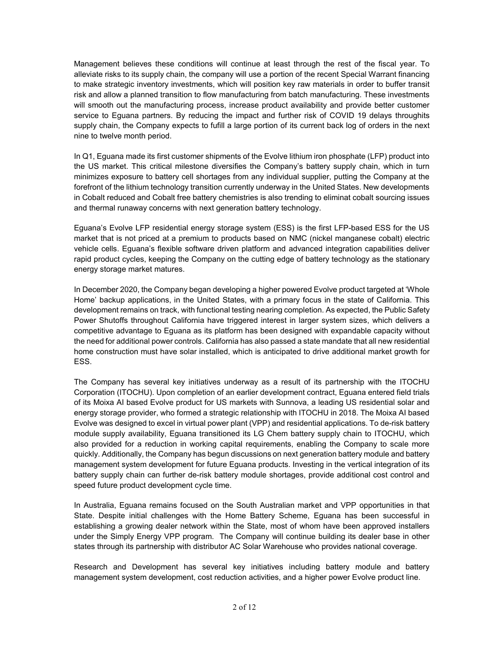Management believes these conditions will continue at least through the rest of the fiscal year. To alleviate risks to its supply chain, the company will use a portion of the recent Special Warrant financing to make strategic inventory investments, which will position key raw materials in order to buffer transit risk and allow a planned transition to flow manufacturing from batch manufacturing. These investments will smooth out the manufacturing process, increase product availability and provide better customer service to Eguana partners. By reducing the impact and further risk of COVID 19 delays throughits supply chain, the Company expects to fufill a large portion of its current back log of orders in the next nine to twelve month period.

In Q1, Eguana made its first customer shipments of the Evolve lithium iron phosphate (LFP) product into the US market. This critical milestone diversifies the Company's battery supply chain, which in turn minimizes exposure to battery cell shortages from any individual supplier, putting the Company at the forefront of the lithium technology transition currently underway in the United States. New developments in Cobalt reduced and Cobalt free battery chemistries is also trending to eliminat cobalt sourcing issues and thermal runaway concerns with next generation battery technology.

Eguana's Evolve LFP residential energy storage system (ESS) is the first LFP-based ESS for the US market that is not priced at a premium to products based on NMC (nickel manganese cobalt) electric vehicle cells. Eguana's flexible software driven platform and advanced integration capabilities deliver rapid product cycles, keeping the Company on the cutting edge of battery technology as the stationary energy storage market matures.

In December 2020, the Company began developing a higher powered Evolve product targeted at 'Whole Home' backup applications, in the United States, with a primary focus in the state of California. This development remains on track, with functional testing nearing completion. As expected, the Public Safety Power Shutoffs throughout California have triggered interest in larger system sizes, which delivers a competitive advantage to Eguana as its platform has been designed with expandable capacity without the need for additional power controls. California has also passed a state mandate that all new residential home construction must have solar installed, which is anticipated to drive additional market growth for ESS.

The Company has several key initiatives underway as a result of its partnership with the ITOCHU Corporation (ITOCHU). Upon completion of an earlier development contract, Eguana entered field trials of its Moixa AI based Evolve product for US markets with Sunnova, a leading US residential solar and energy storage provider, who formed a strategic relationship with ITOCHU in 2018. The Moixa AI based Evolve was designed to excel in virtual power plant (VPP) and residential applications. To de-risk battery module supply availability, Eguana transitioned its LG Chem battery supply chain to ITOCHU, which also provided for a reduction in working capital requirements, enabling the Company to scale more quickly. Additionally, the Company has begun discussions on next generation battery module and battery management system development for future Eguana products. Investing in the vertical integration of its battery supply chain can further de-risk battery module shortages, provide additional cost control and speed future product development cycle time.

In Australia, Eguana remains focused on the South Australian market and VPP opportunities in that State. Despite initial challenges with the Home Battery Scheme, Eguana has been successful in establishing a growing dealer network within the State, most of whom have been approved installers under the Simply Energy VPP program. The Company will continue building its dealer base in other states through its partnership with distributor AC Solar Warehouse who provides national coverage.

Research and Development has several key initiatives including battery module and battery management system development, cost reduction activities, and a higher power Evolve product line.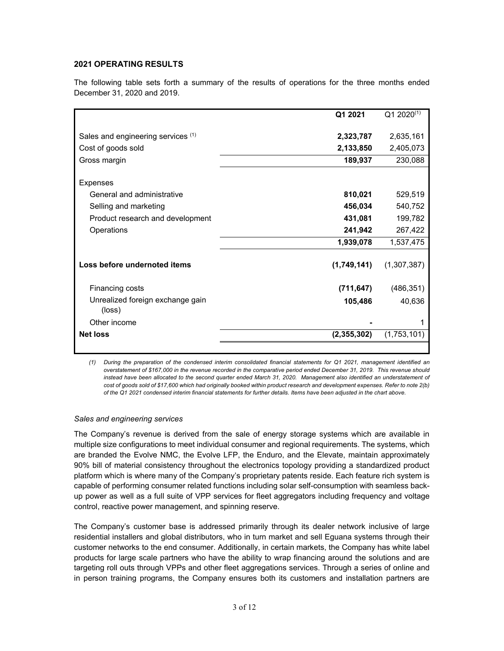# **2021 OPERATING RESULTS**

The following table sets forth a summary of the results of operations for the three months ended December 31, 2020 and 2019.

|                                                          | Q1 2021                | $Q12020^{(1)}$         |
|----------------------------------------------------------|------------------------|------------------------|
| Sales and engineering services (1)<br>Cost of goods sold | 2,323,787<br>2,133,850 | 2,635,161<br>2,405,073 |
| Gross margin                                             | 189,937                | 230,088                |
| <b>Expenses</b>                                          |                        |                        |
| General and administrative                               | 810,021                | 529,519                |
| Selling and marketing                                    | 456,034                | 540,752                |
| Product research and development                         | 431,081                | 199,782                |
| Operations                                               | 241,942                | 267,422                |
|                                                          | 1,939,078              | 1,537,475              |
| Loss before undernoted items                             | (1,749,141)            | (1,307,387)            |
| Financing costs                                          | (711, 647)             | (486, 351)             |
| Unrealized foreign exchange gain<br>(loss)               | 105,486                | 40,636                 |
| Other income                                             |                        | 1                      |
| <b>Net loss</b>                                          | (2,355,302)            | (1,753,101)            |
|                                                          |                        |                        |

*(1) During the preparation of the condensed interim consolidated financial statements for Q1 2021, management identified an overstatement of \$167,000 in the revenue recorded in the comparative period ended December 31, 2019. This revenue should*  instead have been allocated to the second quarter ended March 31, 2020. Management also identified an understatement of *cost of goods sold of \$17,600 which had originally booked within product research and development expenses. Refer to note 2(b) of the Q1 2021 condensed interim financial statements for further details. Items have been adjusted in the chart above.* 

#### *Sales and engineering services*

The Company's revenue is derived from the sale of energy storage systems which are available in multiple size configurations to meet individual consumer and regional requirements. The systems, which are branded the Evolve NMC, the Evolve LFP, the Enduro, and the Elevate, maintain approximately 90% bill of material consistency throughout the electronics topology providing a standardized product platform which is where many of the Company's proprietary patents reside. Each feature rich system is capable of performing consumer related functions including solar self-consumption with seamless backup power as well as a full suite of VPP services for fleet aggregators including frequency and voltage control, reactive power management, and spinning reserve.

The Company's customer base is addressed primarily through its dealer network inclusive of large residential installers and global distributors, who in turn market and sell Eguana systems through their customer networks to the end consumer. Additionally, in certain markets, the Company has white label products for large scale partners who have the ability to wrap financing around the solutions and are targeting roll outs through VPPs and other fleet aggregations services. Through a series of online and in person training programs, the Company ensures both its customers and installation partners are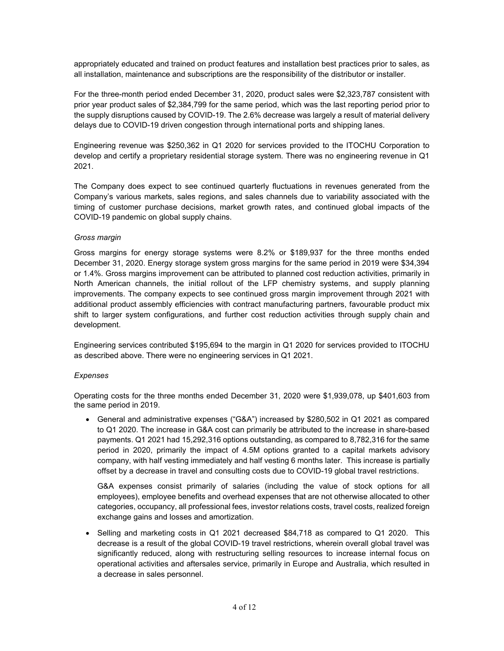appropriately educated and trained on product features and installation best practices prior to sales, as all installation, maintenance and subscriptions are the responsibility of the distributor or installer.

For the three-month period ended December 31, 2020, product sales were \$2,323,787 consistent with prior year product sales of \$2,384,799 for the same period, which was the last reporting period prior to the supply disruptions caused by COVID-19. The 2.6% decrease was largely a result of material delivery delays due to COVID-19 driven congestion through international ports and shipping lanes.

Engineering revenue was \$250,362 in Q1 2020 for services provided to the ITOCHU Corporation to develop and certify a proprietary residential storage system. There was no engineering revenue in Q1 2021.

The Company does expect to see continued quarterly fluctuations in revenues generated from the Company's various markets, sales regions, and sales channels due to variability associated with the timing of customer purchase decisions, market growth rates, and continued global impacts of the COVID-19 pandemic on global supply chains.

# *Gross margin*

Gross margins for energy storage systems were 8.2% or \$189,937 for the three months ended December 31, 2020. Energy storage system gross margins for the same period in 2019 were \$34,394 or 1.4%. Gross margins improvement can be attributed to planned cost reduction activities, primarily in North American channels, the initial rollout of the LFP chemistry systems, and supply planning improvements. The company expects to see continued gross margin improvement through 2021 with additional product assembly efficiencies with contract manufacturing partners, favourable product mix shift to larger system configurations, and further cost reduction activities through supply chain and development.

Engineering services contributed \$195,694 to the margin in Q1 2020 for services provided to ITOCHU as described above. There were no engineering services in Q1 2021.

# *Expenses*

Operating costs for the three months ended December 31, 2020 were \$1,939,078, up \$401,603 from the same period in 2019.

• General and administrative expenses ("G&A") increased by \$280,502 in Q1 2021 as compared to Q1 2020. The increase in G&A cost can primarily be attributed to the increase in share-based payments. Q1 2021 had 15,292,316 options outstanding, as compared to 8,782,316 for the same period in 2020, primarily the impact of 4.5M options granted to a capital markets advisory company, with half vesting immediately and half vesting 6 months later. This increase is partially offset by a decrease in travel and consulting costs due to COVID-19 global travel restrictions.

G&A expenses consist primarily of salaries (including the value of stock options for all employees), employee benefits and overhead expenses that are not otherwise allocated to other categories, occupancy, all professional fees, investor relations costs, travel costs, realized foreign exchange gains and losses and amortization.

• Selling and marketing costs in Q1 2021 decreased \$84,718 as compared to Q1 2020. This decrease is a result of the global COVID-19 travel restrictions, wherein overall global travel was significantly reduced, along with restructuring selling resources to increase internal focus on operational activities and aftersales service, primarily in Europe and Australia, which resulted in a decrease in sales personnel.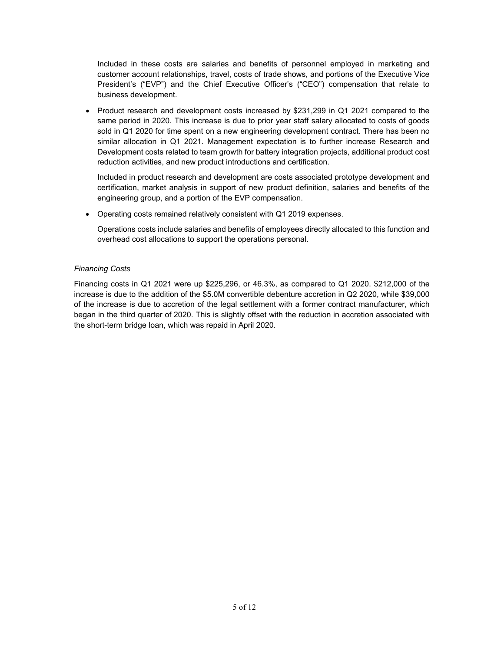Included in these costs are salaries and benefits of personnel employed in marketing and customer account relationships, travel, costs of trade shows, and portions of the Executive Vice President's ("EVP") and the Chief Executive Officer's ("CEO") compensation that relate to business development.

• Product research and development costs increased by \$231,299 in Q1 2021 compared to the same period in 2020. This increase is due to prior year staff salary allocated to costs of goods sold in Q1 2020 for time spent on a new engineering development contract. There has been no similar allocation in Q1 2021. Management expectation is to further increase Research and Development costs related to team growth for battery integration projects, additional product cost reduction activities, and new product introductions and certification.

Included in product research and development are costs associated prototype development and certification, market analysis in support of new product definition, salaries and benefits of the engineering group, and a portion of the EVP compensation.

• Operating costs remained relatively consistent with Q1 2019 expenses.

Operations costs include salaries and benefits of employees directly allocated to this function and overhead cost allocations to support the operations personal.

# *Financing Costs*

Financing costs in Q1 2021 were up \$225,296, or 46.3%, as compared to Q1 2020. \$212,000 of the increase is due to the addition of the \$5.0M convertible debenture accretion in Q2 2020, while \$39,000 of the increase is due to accretion of the legal settlement with a former contract manufacturer, which began in the third quarter of 2020. This is slightly offset with the reduction in accretion associated with the short-term bridge loan, which was repaid in April 2020.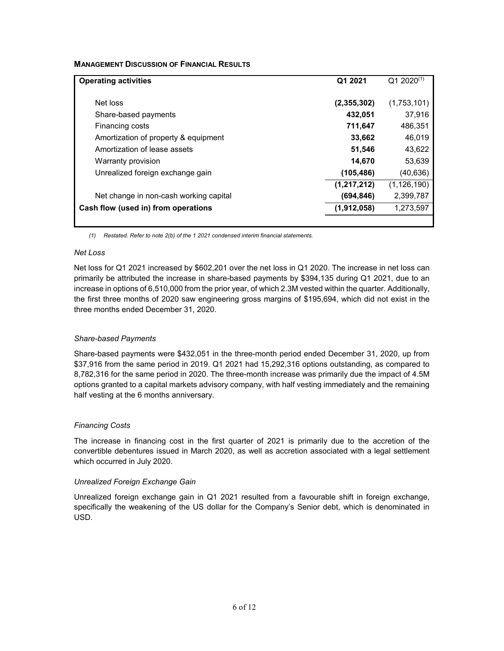# **MANAGEMENT DISCUSSION OF FINANCIAL RESULTS**

| <b>Operating activities</b>            | Q1 2021     | $Q12020^{(1)}$ |
|----------------------------------------|-------------|----------------|
| Net loss                               | (2,355,302) | (1,753,101)    |
| Share-based payments                   | 432,051     | 37,916         |
| Financing costs                        | 711,647     | 486,351        |
| Amortization of property & equipment   | 33,662      | 46,019         |
| Amortization of lease assets           | 51,546      | 43,622         |
| Warranty provision                     | 14,670      | 53,639         |
| Unrealized foreign exchange gain       | (105, 486)  | (40, 636)      |
|                                        | (1,217,212) | (1, 126, 190)  |
| Net change in non-cash working capital | (694, 846)  | 2,399,787      |
| Cash flow (used in) from operations    | (1,912,058) | 1,273,597      |
|                                        |             |                |

*(1) Restated. Refer to note 2(b) of the 1 2021 condensed interim financial statements.* 

# *Net Loss*

Net loss for Q1 2021 increased by \$602,201 over the net loss in Q1 2020. The increase in net loss can primarily be attributed the increase in share-based payments by \$394,135 during Q1 2021, due to an increase in options of 6,510,000 from the prior year, of which 2.3M vested within the quarter. Additionally, the first three months of 2020 saw engineering gross margins of \$195,694, which did not exist in the three months ended December 31, 2020.

# *Share-based Payments*

Share-based payments were \$432,051 in the three-month period ended December 31, 2020, up from \$37,916 from the same period in 2019. Q1 2021 had 15,292,316 options outstanding, as compared to 8,782,316 for the same period in 2020. The three-month increase was primarily due the impact of 4.5M options granted to a capital markets advisory company, with half vesting immediately and the remaining half vesting at the 6 months anniversary.

# *Financing Costs*

The increase in financing cost in the first quarter of 2021 is primarily due to the accretion of the convertible debentures issued in March 2020, as well as accretion associated with a legal settlement which occurred in July 2020.

# *Unrealized Foreign Exchange Gain*

Unrealized foreign exchange gain in Q1 2021 resulted from a favourable shift in foreign exchange, specifically the weakening of the US dollar for the Company's Senior debt, which is denominated in USD.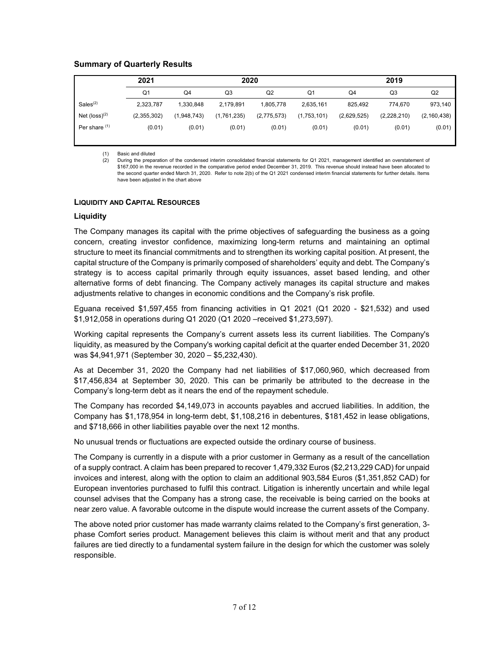# **Summary of Quarterly Results**

|                             | 2021           |             | 2020        |             | 2019           |                |                |                |
|-----------------------------|----------------|-------------|-------------|-------------|----------------|----------------|----------------|----------------|
|                             | Q <sub>1</sub> | Q4          | Q3          | Q2          | Q <sub>1</sub> | Q <sub>4</sub> | Q <sub>3</sub> | Q <sub>2</sub> |
| Sales <sup>(2)</sup>        | 2,323,787      | 1,330,848   | 2,179,891   | 1,805,778   | 2,635,161      | 825,492        | 774,670        | 973,140        |
| Net $(logs)$ <sup>(2)</sup> | (2,355,302)    | (1,948,743) | (1,761,235) | (2,775,573) | (1,753,101)    | (2,629,525)    | (2,228,210)    | (2, 160, 438)  |
| Per share (1)               | (0.01)         | (0.01)      | (0.01)      | (0.01)      | (0.01)         | (0.01)         | (0.01)         | (0.01)         |
|                             |                |             |             |             |                |                |                |                |

(1) Basic and diluted

(2) During the preparation of the condensed interim consolidated financial statements for Q1 2021, management identified an overstatement of \$167,000 in the revenue recorded in the comparative period ended December 31, 2019. This revenue should instead have been allocated to the second quarter ended March 31, 2020. Refer to note 2(b) of the Q1 2021 condensed interim financial statements for further details. Items have been adjusted in the chart above

#### **LIQUIDITY AND CAPITAL RESOURCES**

# **Liquidity**

The Company manages its capital with the prime objectives of safeguarding the business as a going concern, creating investor confidence, maximizing long-term returns and maintaining an optimal structure to meet its financial commitments and to strengthen its working capital position. At present, the capital structure of the Company is primarily composed of shareholders' equity and debt. The Company's strategy is to access capital primarily through equity issuances, asset based lending, and other alternative forms of debt financing. The Company actively manages its capital structure and makes adjustments relative to changes in economic conditions and the Company's risk profile.

Eguana received \$1,597,455 from financing activities in Q1 2021 (Q1 2020 - \$21,532) and used \$1,912,058 in operations during Q1 2020 (Q1 2020 –received \$1,273,597).

Working capital represents the Company's current assets less its current liabilities. The Company's liquidity, as measured by the Company's working capital deficit at the quarter ended December 31, 2020 was \$4,941,971 (September 30, 2020 – \$5,232,430).

As at December 31, 2020 the Company had net liabilities of \$17,060,960, which decreased from \$17,456,834 at September 30, 2020. This can be primarily be attributed to the decrease in the Company's long-term debt as it nears the end of the repayment schedule.

The Company has recorded \$4,149,073 in accounts payables and accrued liabilities. In addition, the Company has \$1,178,954 in long-term debt, \$1,108,216 in debentures, \$181,452 in lease obligations, and \$718,666 in other liabilities payable over the next 12 months.

No unusual trends or fluctuations are expected outside the ordinary course of business.

The Company is currently in a dispute with a prior customer in Germany as a result of the cancellation of a supply contract. A claim has been prepared to recover 1,479,332 Euros (\$2,213,229 CAD) for unpaid invoices and interest, along with the option to claim an additional 903,584 Euros (\$1,351,852 CAD) for European inventories purchased to fulfil this contract. Litigation is inherently uncertain and while legal counsel advises that the Company has a strong case, the receivable is being carried on the books at near zero value. A favorable outcome in the dispute would increase the current assets of the Company.

The above noted prior customer has made warranty claims related to the Company's first generation, 3 phase Comfort series product. Management believes this claim is without merit and that any product failures are tied directly to a fundamental system failure in the design for which the customer was solely responsible.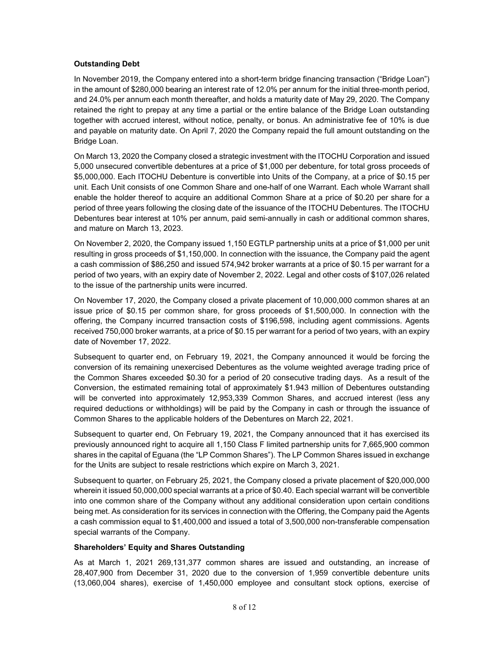# **Outstanding Debt**

In November 2019, the Company entered into a short-term bridge financing transaction ("Bridge Loan") in the amount of \$280,000 bearing an interest rate of 12.0% per annum for the initial three-month period, and 24.0% per annum each month thereafter, and holds a maturity date of May 29, 2020. The Company retained the right to prepay at any time a partial or the entire balance of the Bridge Loan outstanding together with accrued interest, without notice, penalty, or bonus. An administrative fee of 10% is due and payable on maturity date. On April 7, 2020 the Company repaid the full amount outstanding on the Bridge Loan.

On March 13, 2020 the Company closed a strategic investment with the ITOCHU Corporation and issued 5,000 unsecured convertible debentures at a price of \$1,000 per debenture, for total gross proceeds of \$5,000,000. Each ITOCHU Debenture is convertible into Units of the Company, at a price of \$0.15 per unit. Each Unit consists of one Common Share and one-half of one Warrant. Each whole Warrant shall enable the holder thereof to acquire an additional Common Share at a price of \$0.20 per share for a period of three years following the closing date of the issuance of the ITOCHU Debentures. The ITOCHU Debentures bear interest at 10% per annum, paid semi-annually in cash or additional common shares, and mature on March 13, 2023.

On November 2, 2020, the Company issued 1,150 EGTLP partnership units at a price of \$1,000 per unit resulting in gross proceeds of \$1,150,000. In connection with the issuance, the Company paid the agent a cash commission of \$86,250 and issued 574,942 broker warrants at a price of \$0.15 per warrant for a period of two years, with an expiry date of November 2, 2022. Legal and other costs of \$107,026 related to the issue of the partnership units were incurred.

On November 17, 2020, the Company closed a private placement of 10,000,000 common shares at an issue price of \$0.15 per common share, for gross proceeds of \$1,500,000. In connection with the offering, the Company incurred transaction costs of \$196,598, including agent commissions. Agents received 750,000 broker warrants, at a price of \$0.15 per warrant for a period of two years, with an expiry date of November 17, 2022.

Subsequent to quarter end, on February 19, 2021, the Company announced it would be forcing the conversion of its remaining unexercised Debentures as the volume weighted average trading price of the Common Shares exceeded \$0.30 for a period of 20 consecutive trading days. As a result of the Conversion, the estimated remaining total of approximately \$1.943 million of Debentures outstanding will be converted into approximately 12,953,339 Common Shares, and accrued interest (less any required deductions or withholdings) will be paid by the Company in cash or through the issuance of Common Shares to the applicable holders of the Debentures on March 22, 2021.

Subsequent to quarter end, On February 19, 2021, the Company announced that it has exercised its previously announced right to acquire all 1,150 Class F limited partnership units for 7,665,900 common shares in the capital of Eguana (the "LP Common Shares"). The LP Common Shares issued in exchange for the Units are subject to resale restrictions which expire on March 3, 2021.

Subsequent to quarter, on February 25, 2021, the Company closed a private placement of \$20,000,000 wherein it issued 50,000,000 special warrants at a price of \$0.40. Each special warrant will be convertible into one common share of the Company without any additional consideration upon certain conditions being met. As consideration for its services in connection with the Offering, the Company paid the Agents a cash commission equal to \$1,400,000 and issued a total of 3,500,000 non-transferable compensation special warrants of the Company.

# **Shareholders' Equity and Shares Outstanding**

As at March 1, 2021 269,131,377 common shares are issued and outstanding, an increase of 28,407,900 from December 31, 2020 due to the conversion of 1,959 convertible debenture units (13,060,004 shares), exercise of 1,450,000 employee and consultant stock options, exercise of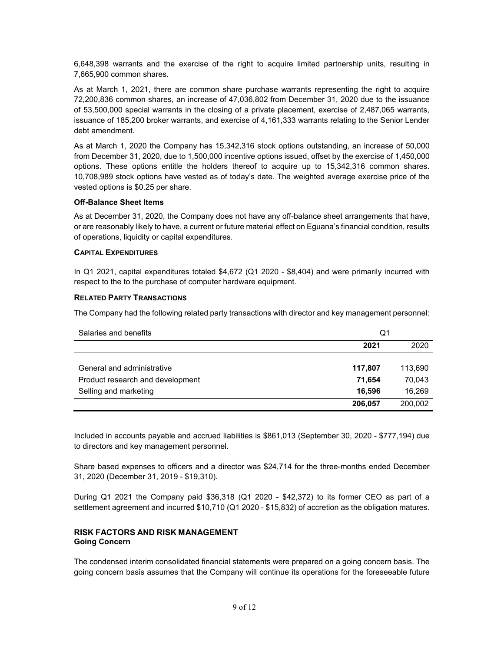6,648,398 warrants and the exercise of the right to acquire limited partnership units, resulting in 7,665,900 common shares.

As at March 1, 2021, there are common share purchase warrants representing the right to acquire 72,200,836 common shares, an increase of 47,036,802 from December 31, 2020 due to the issuance of 53,500,000 special warrants in the closing of a private placement, exercise of 2,487,065 warrants, issuance of 185,200 broker warrants, and exercise of 4,161,333 warrants relating to the Senior Lender debt amendment.

As at March 1, 2020 the Company has 15,342,316 stock options outstanding, an increase of 50,000 from December 31, 2020, due to 1,500,000 incentive options issued, offset by the exercise of 1,450,000 options. These options entitle the holders thereof to acquire up to 15,342,316 common shares. 10,708,989 stock options have vested as of today's date. The weighted average exercise price of the vested options is \$0.25 per share.

#### **Off-Balance Sheet Items**

As at December 31, 2020, the Company does not have any off-balance sheet arrangements that have, or are reasonably likely to have, a current or future material effect on Eguana's financial condition, results of operations, liquidity or capital expenditures.

#### **CAPITAL EXPENDITURES**

In Q1 2021, capital expenditures totaled \$4,672 (Q1 2020 - \$8,404) and were primarily incurred with respect to the to the purchase of computer hardware equipment.

#### **RELATED PARTY TRANSACTIONS**

The Company had the following related party transactions with director and key management personnel:

| Salaries and benefits            | Q1      |         |
|----------------------------------|---------|---------|
|                                  | 2021    | 2020    |
|                                  |         |         |
| General and administrative       | 117,807 | 113,690 |
| Product research and development | 71.654  | 70,043  |
| Selling and marketing            | 16.596  | 16,269  |
|                                  | 206,057 | 200,002 |

Included in accounts payable and accrued liabilities is \$861,013 (September 30, 2020 - \$777,194) due to directors and key management personnel.

Share based expenses to officers and a director was \$24,714 for the three-months ended December 31, 2020 (December 31, 2019 - \$19,310).

During Q1 2021 the Company paid \$36,318 (Q1 2020 - \$42,372) to its former CEO as part of a settlement agreement and incurred \$10,710 (Q1 2020 - \$15,832) of accretion as the obligation matures.

# **RISK FACTORS AND RISK MANAGEMENT Going Concern**

The condensed interim consolidated financial statements were prepared on a going concern basis. The going concern basis assumes that the Company will continue its operations for the foreseeable future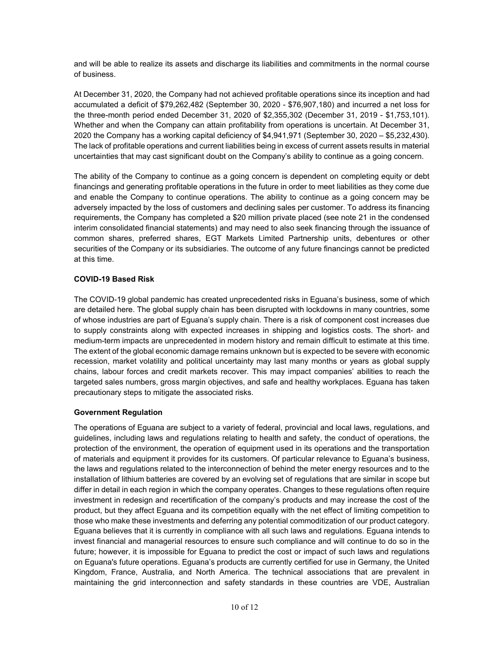and will be able to realize its assets and discharge its liabilities and commitments in the normal course of business.

At December 31, 2020, the Company had not achieved profitable operations since its inception and had accumulated a deficit of \$79,262,482 (September 30, 2020 - \$76,907,180) and incurred a net loss for the three-month period ended December 31, 2020 of \$2,355,302 (December 31, 2019 - \$1,753,101). Whether and when the Company can attain profitability from operations is uncertain. At December 31, 2020 the Company has a working capital deficiency of \$4,941,971 (September 30, 2020 – \$5,232,430). The lack of profitable operations and current liabilities being in excess of current assets results in material uncertainties that may cast significant doubt on the Company's ability to continue as a going concern.

The ability of the Company to continue as a going concern is dependent on completing equity or debt financings and generating profitable operations in the future in order to meet liabilities as they come due and enable the Company to continue operations. The ability to continue as a going concern may be adversely impacted by the loss of customers and declining sales per customer. To address its financing requirements, the Company has completed a \$20 million private placed (see note 21 in the condensed interim consolidated financial statements) and may need to also seek financing through the issuance of common shares, preferred shares, EGT Markets Limited Partnership units, debentures or other securities of the Company or its subsidiaries. The outcome of any future financings cannot be predicted at this time.

# **COVID-19 Based Risk**

The COVID-19 global pandemic has created unprecedented risks in Eguana's business, some of which are detailed here. The global supply chain has been disrupted with lockdowns in many countries, some of whose industries are part of Eguana's supply chain. There is a risk of component cost increases due to supply constraints along with expected increases in shipping and logistics costs. The short- and medium-term impacts are unprecedented in modern history and remain difficult to estimate at this time. The extent of the global economic damage remains unknown but is expected to be severe with economic recession, market volatility and political uncertainty may last many months or years as global supply chains, labour forces and credit markets recover. This may impact companies' abilities to reach the targeted sales numbers, gross margin objectives, and safe and healthy workplaces. Eguana has taken precautionary steps to mitigate the associated risks.

# **Government Regulation**

The operations of Eguana are subject to a variety of federal, provincial and local laws, regulations, and guidelines, including laws and regulations relating to health and safety, the conduct of operations, the protection of the environment, the operation of equipment used in its operations and the transportation of materials and equipment it provides for its customers. Of particular relevance to Eguana's business, the laws and regulations related to the interconnection of behind the meter energy resources and to the installation of lithium batteries are covered by an evolving set of regulations that are similar in scope but differ in detail in each region in which the company operates. Changes to these regulations often require investment in redesign and recertification of the company's products and may increase the cost of the product, but they affect Eguana and its competition equally with the net effect of limiting competition to those who make these investments and deferring any potential commoditization of our product category. Eguana believes that it is currently in compliance with all such laws and regulations. Eguana intends to invest financial and managerial resources to ensure such compliance and will continue to do so in the future; however, it is impossible for Eguana to predict the cost or impact of such laws and regulations on Eguana's future operations. Eguana's products are currently certified for use in Germany, the United Kingdom, France, Australia, and North America. The technical associations that are prevalent in maintaining the grid interconnection and safety standards in these countries are VDE, Australian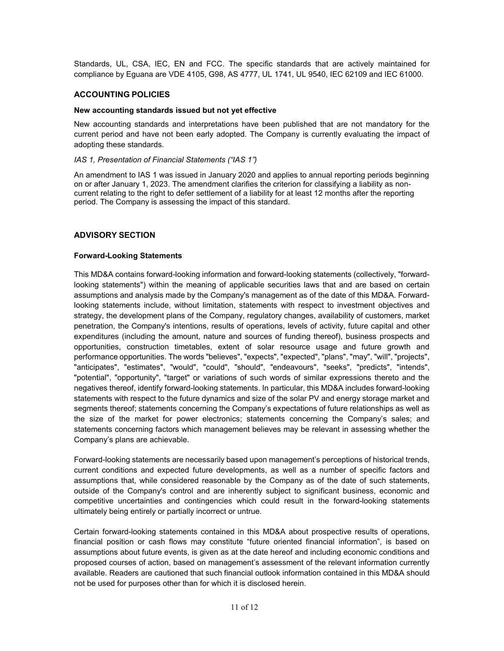Standards, UL, CSA, IEC, EN and FCC. The specific standards that are actively maintained for compliance by Eguana are VDE 4105, G98, AS 4777, UL 1741, UL 9540, IEC 62109 and IEC 61000.

# **ACCOUNTING POLICIES**

#### **New accounting standards issued but not yet effective**

New accounting standards and interpretations have been published that are not mandatory for the current period and have not been early adopted. The Company is currently evaluating the impact of adopting these standards.

#### *IAS 1, Presentation of Financial Statements ("IAS 1")*

An amendment to IAS 1 was issued in January 2020 and applies to annual reporting periods beginning on or after January 1, 2023. The amendment clarifies the criterion for classifying a liability as noncurrent relating to the right to defer settlement of a liability for at least 12 months after the reporting period. The Company is assessing the impact of this standard.

# **ADVISORY SECTION**

# **Forward-Looking Statements**

This MD&A contains forward-looking information and forward-looking statements (collectively, "forwardlooking statements") within the meaning of applicable securities laws that and are based on certain assumptions and analysis made by the Company's management as of the date of this MD&A. Forwardlooking statements include, without limitation, statements with respect to investment objectives and strategy, the development plans of the Company, regulatory changes, availability of customers, market penetration, the Company's intentions, results of operations, levels of activity, future capital and other expenditures (including the amount, nature and sources of funding thereof), business prospects and opportunities, construction timetables, extent of solar resource usage and future growth and performance opportunities. The words "believes", "expects", "expected", "plans", "may", "will", "projects", "anticipates", "estimates", "would", "could", "should", "endeavours", "seeks", "predicts", "intends", "potential", "opportunity", "target" or variations of such words of similar expressions thereto and the negatives thereof, identify forward-looking statements. In particular, this MD&A includes forward-looking statements with respect to the future dynamics and size of the solar PV and energy storage market and segments thereof; statements concerning the Company's expectations of future relationships as well as the size of the market for power electronics; statements concerning the Company's sales; and statements concerning factors which management believes may be relevant in assessing whether the Company's plans are achievable.

Forward-looking statements are necessarily based upon management's perceptions of historical trends, current conditions and expected future developments, as well as a number of specific factors and assumptions that, while considered reasonable by the Company as of the date of such statements, outside of the Company's control and are inherently subject to significant business, economic and competitive uncertainties and contingencies which could result in the forward-looking statements ultimately being entirely or partially incorrect or untrue.

Certain forward-looking statements contained in this MD&A about prospective results of operations, financial position or cash flows may constitute "future oriented financial information", is based on assumptions about future events, is given as at the date hereof and including economic conditions and proposed courses of action, based on management's assessment of the relevant information currently available. Readers are cautioned that such financial outlook information contained in this MD&A should not be used for purposes other than for which it is disclosed herein.